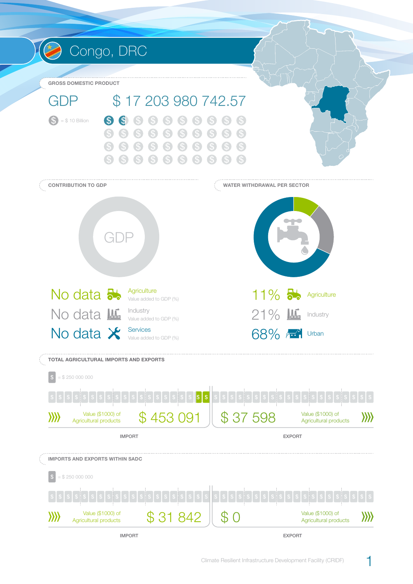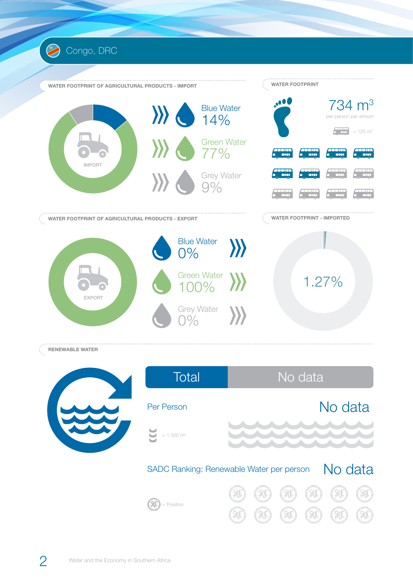

**RENEWABLE WATER**

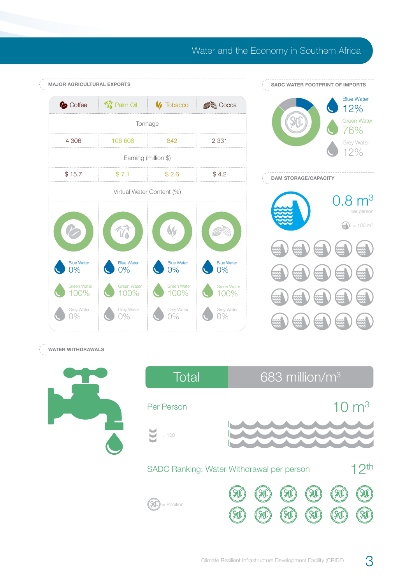## Water and the Economy in Southern Africa



## **WATER WITHDRAWALS**